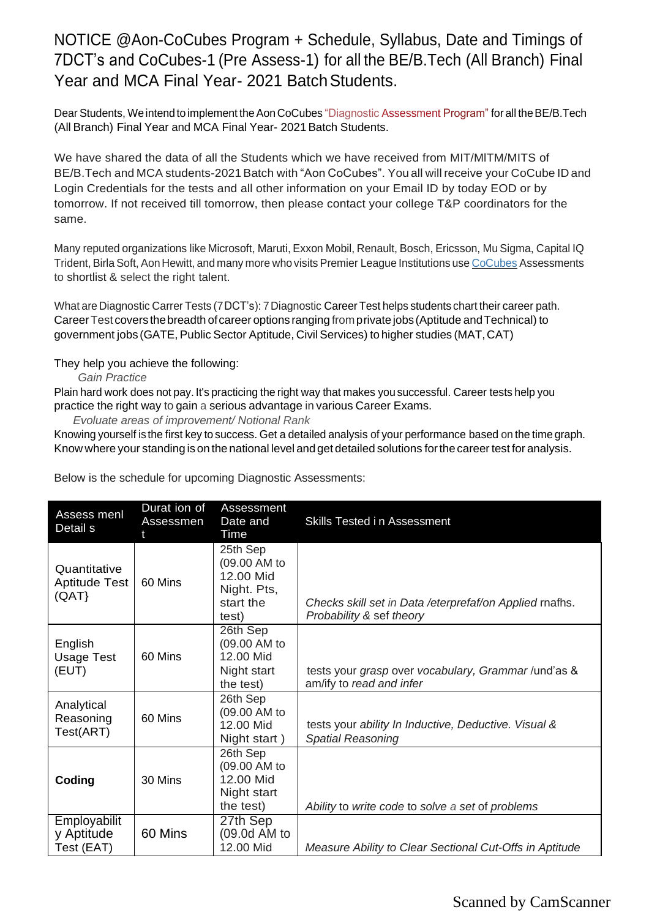NOTICE @Aon-CoCubes Program + Schedule, Syllabus, Date and Timings of 7DCT's and CoCubes-1 (Pre Assess-1) for all the BE/B.Tech (All Branch) Final Year and MCA Final Year- 2021 Batch Students.

Dear Students, We intend to implement the Aon CoCubes "Diagnostic Assessment Program" for all the BE/B.Tech (All Branch) Final Year and MCA Final Year- 2021 Batch Students.

We have shared the data of all the Students which we have received from MIT/MlTM/MITS of BE/B.Tech and MCA students-2021 Batch with "Aon CoCubes". You all will receive your CoCube ID and Login Credentials for the tests and all other information on your Email ID by today EOD or by tomorrow. If not received till tomorrow, then please contact your college T&P coordinators for the same.

Many reputed organizations like Microsoft, Maruti, Exxon Mobil, Renault, Bosch, Ericsson, Mu Sigma, Capital IQ Trident, Birla Soft, Aon Hewitt, and many more who visits Premier League Institutions use CoCubes Assessments to shortlist & select the right talent.

What are Diagnostic Carrer Tests (7DCT's): 7Diagnostic Career Test helps students chart their career path. CareerTest covers thebreadth ofcareer options ranging fromprivatejobs (Aptitude andTechnical) to government jobs (GATE, Public Sector Aptitude, Civil Services) to higher studies (MAT,CAT)

#### They help you achieve the following:

*Gain Practice*

Plain hard work does not pay. It's practicing the right way that makes you successful. Career tests help you practice the right way to gain a serious advantage in various Career Exams.

*Evoluate areas of improvement/ Notional Rank*

Knowing yourself is the first key to success. Get a detailed analysis of your performance based on the time graph. Know where your standing is on the national level andget detailed solutions forthe careertest for analysis.

Below is the schedule for upcoming Diagnostic Assessments:

| Assess menl<br>Detail s                  | Durat ion of<br><b>Assessmen</b> | Assessment<br>Date and<br>Time                                             | Skills Tested in Assessment                                                         |
|------------------------------------------|----------------------------------|----------------------------------------------------------------------------|-------------------------------------------------------------------------------------|
| Quantitative<br>Aptitude Test<br>(QAT)   | 60 Mins                          | 25th Sep<br>(09.00 AM to<br>12.00 Mid<br>Night. Pts,<br>start the<br>test) | Checks skill set in Data / eterprefaf/on Applied mafhs.<br>Probability & sef theory |
| English<br>Usage Test<br>(EUT)           | 60 Mins                          | 26th Sep<br>(09.00 AM to<br>12.00 Mid<br>Night start<br>the test)          | tests your grasp over vocabulary, Grammar/und'as &<br>am/ify to read and infer      |
| Analytical<br>Reasoning<br>Test(ART)     | 60 Mins                          | 26th Sep<br>(09.00 AM to<br>12.00 Mid<br>Night start)                      | tests your ability In Inductive, Deductive. Visual &<br><b>Spatial Reasoning</b>    |
| Coding                                   | 30 Mins                          | 26th Sep<br>(09.00 AM to<br>12.00 Mid<br>Night start<br>the test)          | Ability to write code to solve a set of problems                                    |
| Employabilit<br>y Aptitude<br>Test (EAT) | 60 Mins                          | 27th Sep<br>(09.0d AM to<br>12.00 Mid                                      | Measure Ability to Clear Sectional Cut-Offs in Aptitude                             |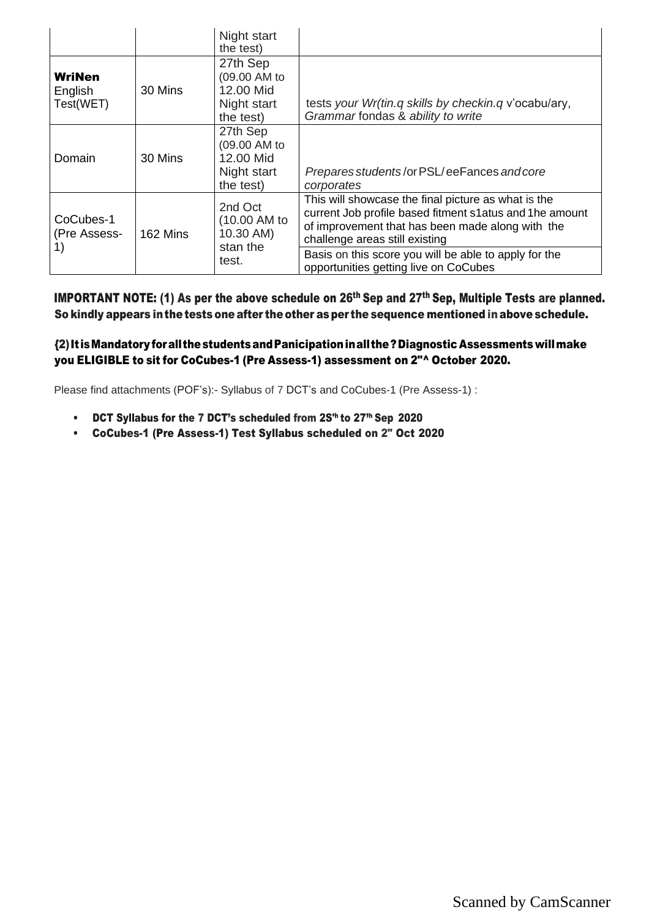|                                       |          | Night start<br>the test)                                          |                                                                                                                                                                                                      |
|---------------------------------------|----------|-------------------------------------------------------------------|------------------------------------------------------------------------------------------------------------------------------------------------------------------------------------------------------|
| <b>WriNen</b><br>English<br>Test(WET) | 30 Mins  | 27th Sep<br>(09.00 AM to<br>12.00 Mid<br>Night start<br>the test) | tests your Wr(tin.q skills by checkin.q v'ocabu/ary,<br>Grammar fondas & ability to write                                                                                                            |
| Domain                                | 30 Mins  | 27th Sep<br>(09.00 AM to<br>12.00 Mid<br>Night start<br>the test) | Prepares students/or PSL/eeFances and core<br>corporates                                                                                                                                             |
| CoCubes-1<br>(Pre Assess-             | 162 Mins | 2nd Oct<br>(10.00 AM to<br>10.30 AM)                              | This will showcase the final picture as what is the<br>current Job profile based fitment s1atus and 1he amount<br>of improvement that has been made along with the<br>challenge areas still existing |
| 1)                                    |          | stan the<br>test.                                                 | Basis on this score you will be able to apply for the<br>opportunities getting live on CoCubes                                                                                                       |

**IMPORTANT NOTE:** (1) As per the above schedule on  $26<sup>th</sup>$  Sep and  $27<sup>th</sup>$  Sep, Multiple Tests are planned. So kindly appears in the tests one after the other as per the sequence mentioned in above schedule.

#### {2)It isMandatory forallthestudentsandPanicipationinallthe?Diagnostic Assessments willmake you ELIGIBLE to sit for CoCubes-1 (Pre Assess-1) assessment on 2"^ October 2020.

Please find attachments (POF's):- Syllabus of 7 DCT's and CoCubes-1 (Pre Assess-1) :

- DCT Syllabus for the 7 DCT's scheduled from 2S<sup>th</sup> to 27<sup>th</sup> Sep 2020
- CoCubes-1 (Pre Assess-1) Test Syllabus scheduled on 2" Oct 2020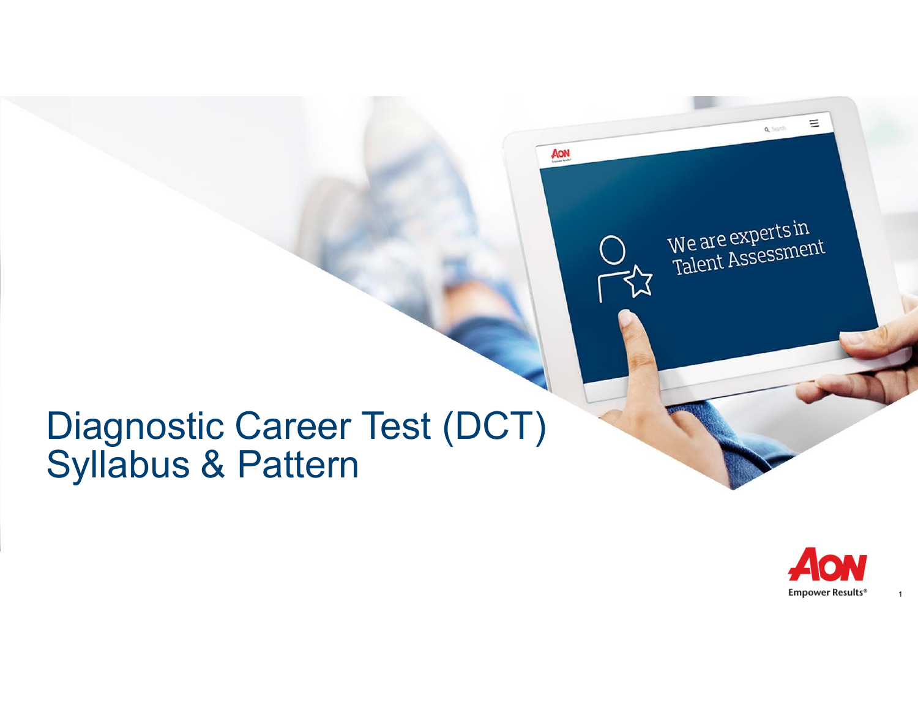# Diagnostic Career Test (DCT)<br>Syllabus & Pattern



 $\mathbf{1}$ 

 $\equiv$ 

Q Search

We are experts in<br>Talent Assessment

AON

 $\frac{1}{2}$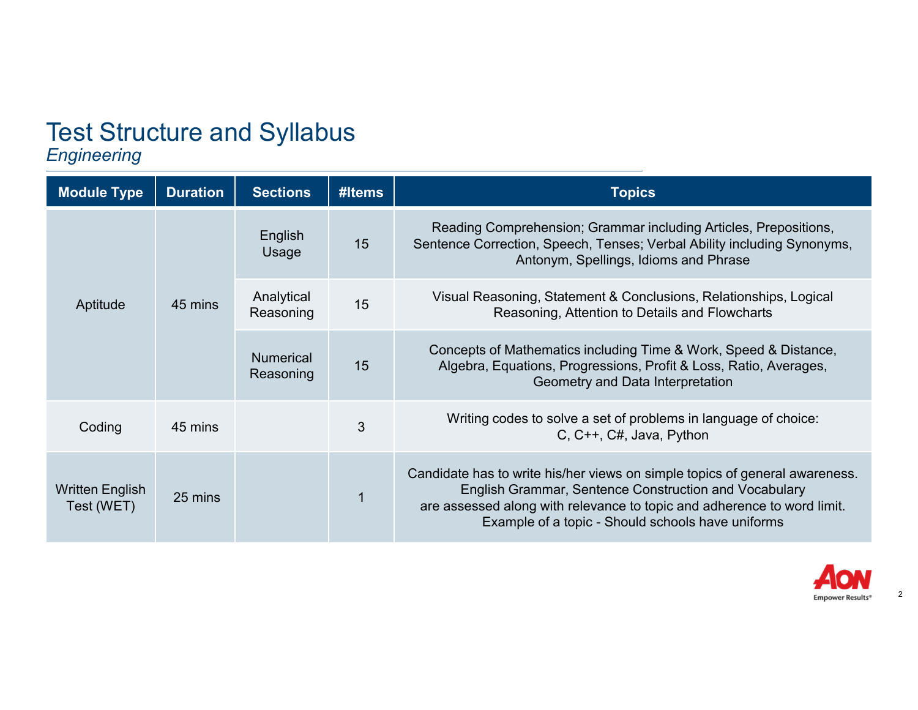## **Test Structure and Syllabus**<br>**Engineering**

| <b>Module Type</b>            | <b>Duration</b> | <b>Sections</b>               | #Items | <b>Topics</b>                                                                                                                                                                                                                                                        |
|-------------------------------|-----------------|-------------------------------|--------|----------------------------------------------------------------------------------------------------------------------------------------------------------------------------------------------------------------------------------------------------------------------|
| Aptitude                      | 45 mins         | English<br>Usage              | 15     | Reading Comprehension; Grammar including Articles, Prepositions,<br>Sentence Correction, Speech, Tenses; Verbal Ability including Synonyms,<br>Antonym, Spellings, Idioms and Phrase                                                                                 |
|                               |                 | Analytical<br>Reasoning       | 15     | Visual Reasoning, Statement & Conclusions, Relationships, Logical<br>Reasoning, Attention to Details and Flowcharts                                                                                                                                                  |
|                               |                 | <b>Numerical</b><br>Reasoning | 15     | Concepts of Mathematics including Time & Work, Speed & Distance,<br>Algebra, Equations, Progressions, Profit & Loss, Ratio, Averages,<br>Geometry and Data Interpretation                                                                                            |
| Coding                        | 45 mins         |                               | 3      | Writing codes to solve a set of problems in language of choice:<br>C, C++, C#, Java, Python                                                                                                                                                                          |
| Written English<br>Test (WET) | 25 mins         |                               |        | Candidate has to write his/her views on simple topics of general awareness.<br>English Grammar, Sentence Construction and Vocabulary<br>are assessed along with relevance to topic and adherence to word limit.<br>Example of a topic - Should schools have uniforms |



 $\overline{2}$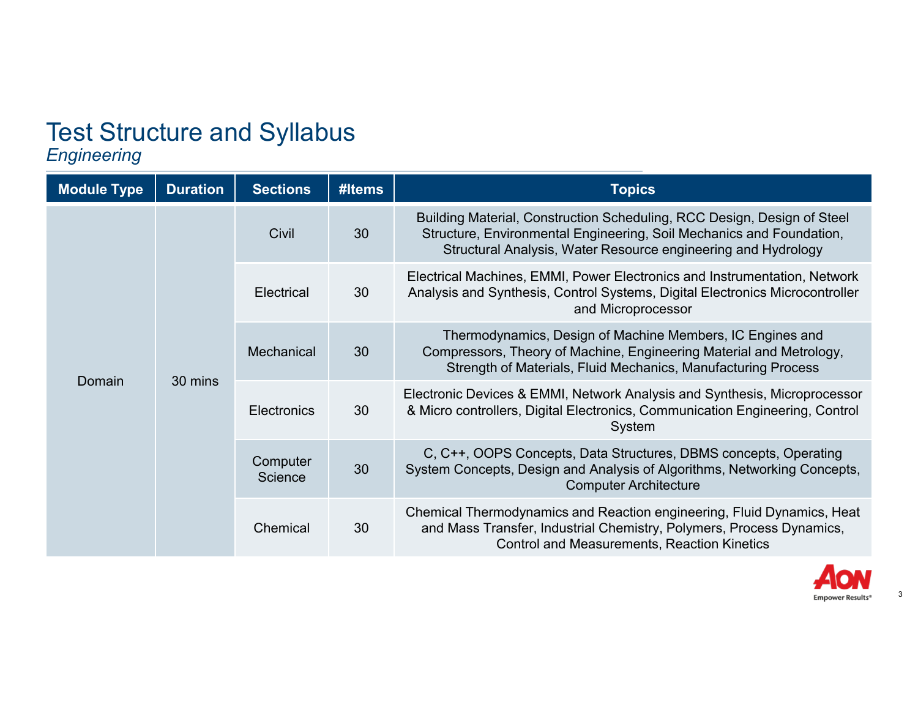### **Test Structure and Syllabus**<br>**Engineering**

| <b>Module Type</b> | <b>Duration</b> | <b>Sections</b>     | #Items | <b>Topics</b>                                                                                                                                                                                                    |
|--------------------|-----------------|---------------------|--------|------------------------------------------------------------------------------------------------------------------------------------------------------------------------------------------------------------------|
| Domain             | 30 mins         | Civil               | 30     | Building Material, Construction Scheduling, RCC Design, Design of Steel<br>Structure, Environmental Engineering, Soil Mechanics and Foundation,<br>Structural Analysis, Water Resource engineering and Hydrology |
|                    |                 | <b>Electrical</b>   | 30     | Electrical Machines, EMMI, Power Electronics and Instrumentation, Network<br>Analysis and Synthesis, Control Systems, Digital Electronics Microcontroller<br>and Microprocessor                                  |
|                    |                 | Mechanical          | 30     | Thermodynamics, Design of Machine Members, IC Engines and<br>Compressors, Theory of Machine, Engineering Material and Metrology,<br>Strength of Materials, Fluid Mechanics, Manufacturing Process                |
|                    |                 | <b>Electronics</b>  | 30     | Electronic Devices & EMMI, Network Analysis and Synthesis, Microprocessor<br>& Micro controllers, Digital Electronics, Communication Engineering, Control<br>System                                              |
|                    |                 | Computer<br>Science | 30     | C, C++, OOPS Concepts, Data Structures, DBMS concepts, Operating<br>System Concepts, Design and Analysis of Algorithms, Networking Concepts,<br><b>Computer Architecture</b>                                     |
|                    |                 | Chemical            | 30     | Chemical Thermodynamics and Reaction engineering, Fluid Dynamics, Heat<br>and Mass Transfer, Industrial Chemistry, Polymers, Process Dynamics,<br><b>Control and Measurements, Reaction Kinetics</b>             |



 $\sqrt{3}$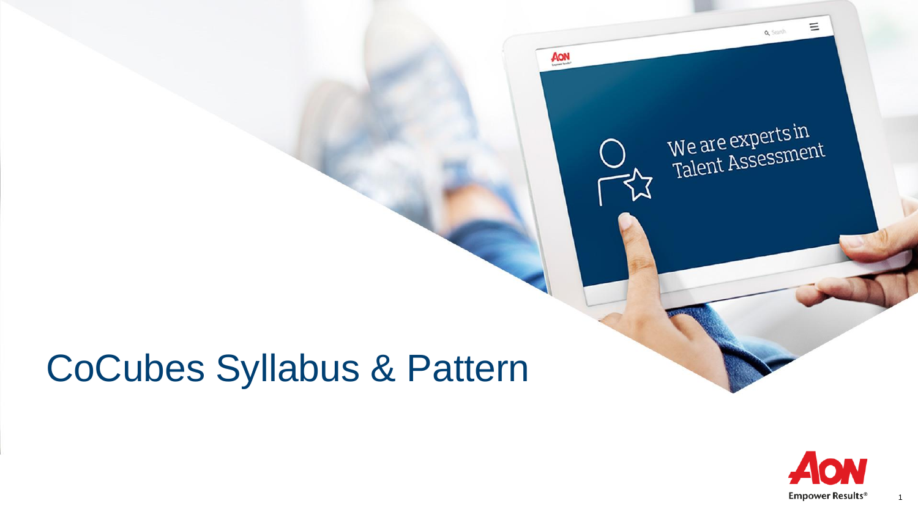### CoCubes Syllabus & Pattern



 $\equiv$ 

Q Search

We are experts in<br>Talent Assessment

AON

 $\overline{\mathbf{z}}$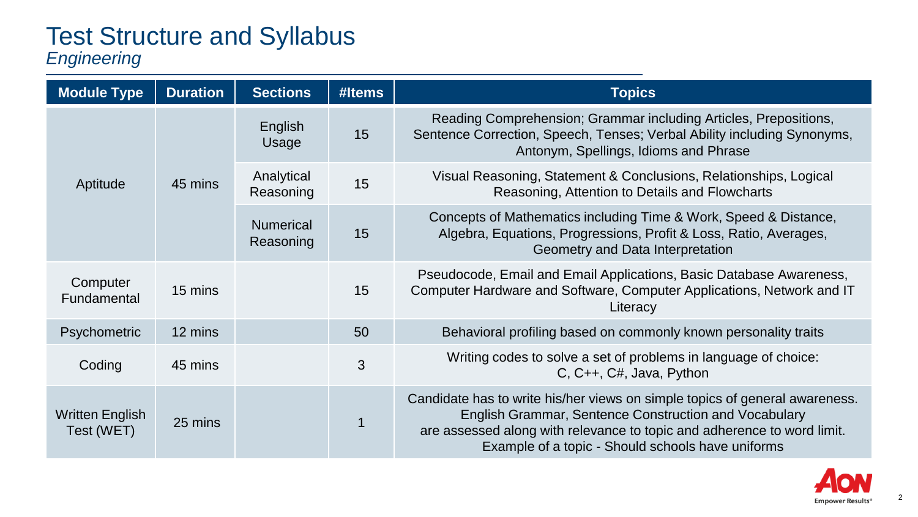#### Test Structure and Syllabus *Engineering*

| <b>Module Type</b>            | <b>Duration</b> | <b>Sections</b>               | #Items | <b>Topics</b>                                                                                                                                                                                                                                                        |
|-------------------------------|-----------------|-------------------------------|--------|----------------------------------------------------------------------------------------------------------------------------------------------------------------------------------------------------------------------------------------------------------------------|
| Aptitude                      |                 | English<br>Usage              | 15     | Reading Comprehension; Grammar including Articles, Prepositions,<br>Sentence Correction, Speech, Tenses; Verbal Ability including Synonyms,<br>Antonym, Spellings, Idioms and Phrase                                                                                 |
|                               | 45 mins         | Analytical<br>Reasoning       | 15     | Visual Reasoning, Statement & Conclusions, Relationships, Logical<br>Reasoning, Attention to Details and Flowcharts                                                                                                                                                  |
|                               |                 | <b>Numerical</b><br>Reasoning | 15     | Concepts of Mathematics including Time & Work, Speed & Distance,<br>Algebra, Equations, Progressions, Profit & Loss, Ratio, Averages,<br>Geometry and Data Interpretation                                                                                            |
| Computer<br>Fundamental       | 15 mins         |                               | 15     | Pseudocode, Email and Email Applications, Basic Database Awareness,<br>Computer Hardware and Software, Computer Applications, Network and IT<br>Literacy                                                                                                             |
| Psychometric                  | 12 mins         |                               | 50     | Behavioral profiling based on commonly known personality traits                                                                                                                                                                                                      |
| Coding                        | 45 mins         |                               | 3      | Writing codes to solve a set of problems in language of choice:<br>C, C++, C#, Java, Python                                                                                                                                                                          |
| Written English<br>Test (WET) | 25 mins         |                               |        | Candidate has to write his/her views on simple topics of general awareness.<br>English Grammar, Sentence Construction and Vocabulary<br>are assessed along with relevance to topic and adherence to word limit.<br>Example of a topic - Should schools have uniforms |

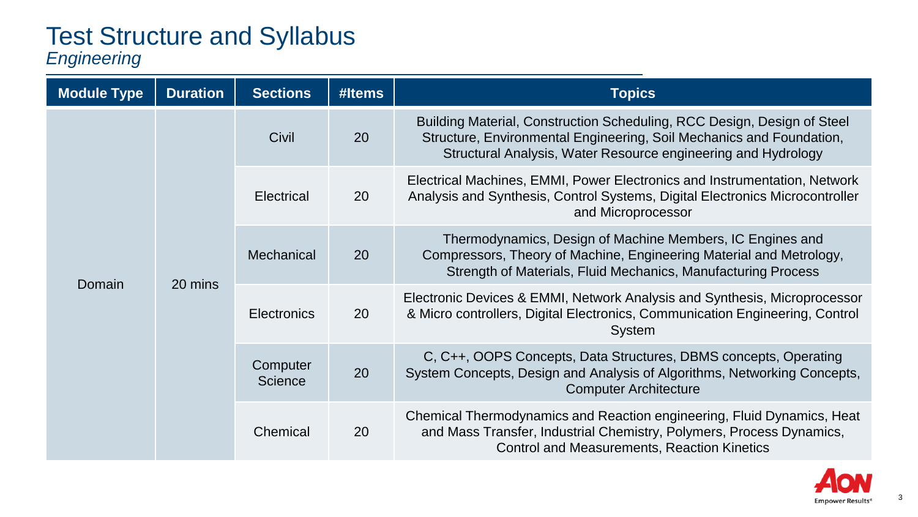#### Test Structure and Syllabus *Engineering*

| <b>Module Type</b> | <b>Duration</b> | <b>Sections</b>     | #Items | <b>Topics</b>                                                                                                                                                                                                    |
|--------------------|-----------------|---------------------|--------|------------------------------------------------------------------------------------------------------------------------------------------------------------------------------------------------------------------|
| Domain             | 20 mins         | Civil               | 20     | Building Material, Construction Scheduling, RCC Design, Design of Steel<br>Structure, Environmental Engineering, Soil Mechanics and Foundation,<br>Structural Analysis, Water Resource engineering and Hydrology |
|                    |                 | Electrical          | 20     | Electrical Machines, EMMI, Power Electronics and Instrumentation, Network<br>Analysis and Synthesis, Control Systems, Digital Electronics Microcontroller<br>and Microprocessor                                  |
|                    |                 | Mechanical          | 20     | Thermodynamics, Design of Machine Members, IC Engines and<br>Compressors, Theory of Machine, Engineering Material and Metrology,<br>Strength of Materials, Fluid Mechanics, Manufacturing Process                |
|                    |                 | Electronics         | 20     | Electronic Devices & EMMI, Network Analysis and Synthesis, Microprocessor<br>& Micro controllers, Digital Electronics, Communication Engineering, Control<br>System                                              |
|                    |                 | Computer<br>Science | 20     | C, C++, OOPS Concepts, Data Structures, DBMS concepts, Operating<br>System Concepts, Design and Analysis of Algorithms, Networking Concepts,<br><b>Computer Architecture</b>                                     |
|                    |                 | Chemical            | 20     | Chemical Thermodynamics and Reaction engineering, Fluid Dynamics, Heat<br>and Mass Transfer, Industrial Chemistry, Polymers, Process Dynamics,<br><b>Control and Measurements, Reaction Kinetics</b>             |

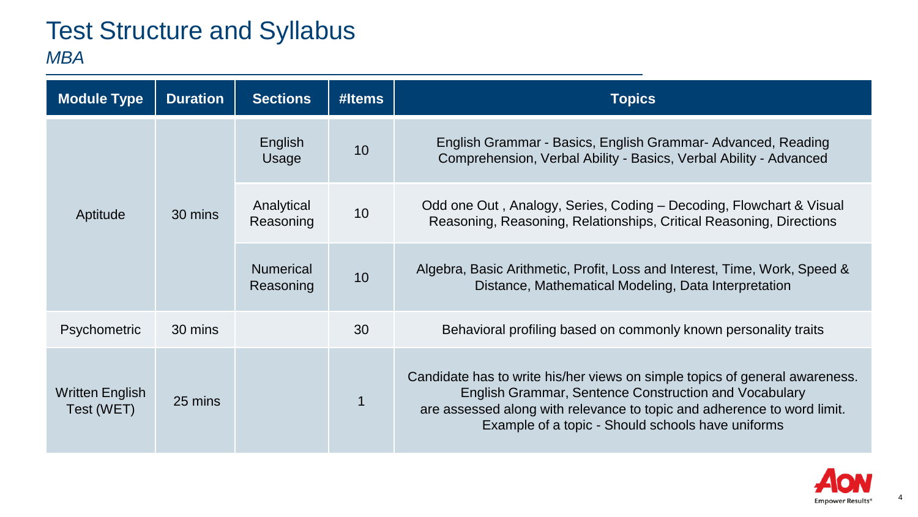#### Test Structure and Syllabus *MBA*

| <b>Module Type</b>            | <b>Duration</b> | <b>Sections</b>               | #Items | <b>Topics</b>                                                                                                                                                                                                                                                        |
|-------------------------------|-----------------|-------------------------------|--------|----------------------------------------------------------------------------------------------------------------------------------------------------------------------------------------------------------------------------------------------------------------------|
| Aptitude                      | 30 mins         | English<br>Usage              | 10     | English Grammar - Basics, English Grammar- Advanced, Reading<br>Comprehension, Verbal Ability - Basics, Verbal Ability - Advanced                                                                                                                                    |
|                               |                 | Analytical<br>Reasoning       | 10     | Odd one Out, Analogy, Series, Coding – Decoding, Flowchart & Visual<br>Reasoning, Reasoning, Relationships, Critical Reasoning, Directions                                                                                                                           |
|                               |                 | <b>Numerical</b><br>Reasoning | 10     | Algebra, Basic Arithmetic, Profit, Loss and Interest, Time, Work, Speed &<br>Distance, Mathematical Modeling, Data Interpretation                                                                                                                                    |
| Psychometric                  | 30 mins         |                               | 30     | Behavioral profiling based on commonly known personality traits                                                                                                                                                                                                      |
| Written English<br>Test (WET) | 25 mins         |                               |        | Candidate has to write his/her views on simple topics of general awareness.<br>English Grammar, Sentence Construction and Vocabulary<br>are assessed along with relevance to topic and adherence to word limit.<br>Example of a topic - Should schools have uniforms |

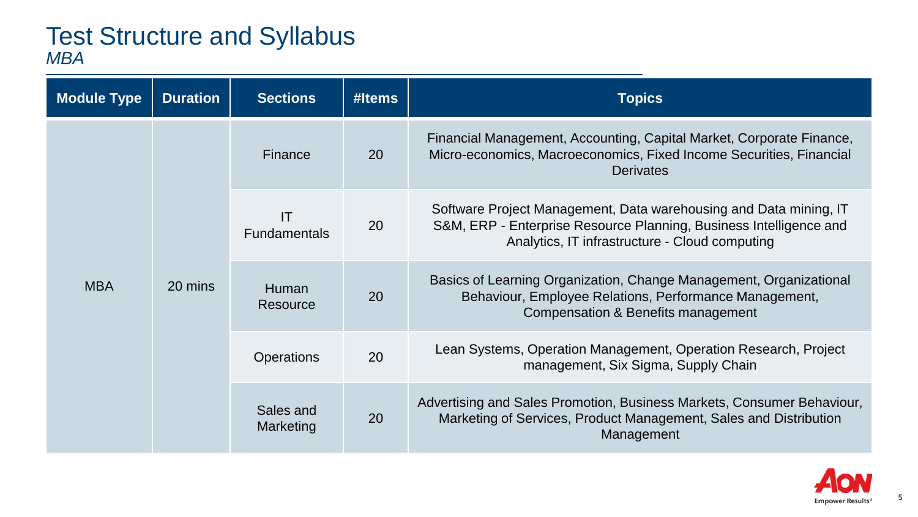#### Test Structure and Syllabus *MBA*

| <b>Module Type</b> | <b>Duration</b> | <b>Sections</b>                  | #Items | <b>Topics</b>                                                                                                                                                                             |
|--------------------|-----------------|----------------------------------|--------|-------------------------------------------------------------------------------------------------------------------------------------------------------------------------------------------|
|                    |                 | Finance                          | 20     | Financial Management, Accounting, Capital Market, Corporate Finance,<br>Micro-economics, Macroeconomics, Fixed Income Securities, Financial<br>Derivates                                  |
| <b>MBA</b>         | 20 mins         | <b>IT</b><br><b>Fundamentals</b> | 20     | Software Project Management, Data warehousing and Data mining, IT<br>S&M, ERP - Enterprise Resource Planning, Business Intelligence and<br>Analytics, IT infrastructure - Cloud computing |
|                    |                 | <b>Human</b><br>Resource         | 20     | Basics of Learning Organization, Change Management, Organizational<br>Behaviour, Employee Relations, Performance Management,<br>Compensation & Benefits management                        |
|                    |                 | Operations                       | 20     | Lean Systems, Operation Management, Operation Research, Project<br>management, Six Sigma, Supply Chain                                                                                    |
|                    |                 | Sales and<br>Marketing           | 20     | Advertising and Sales Promotion, Business Markets, Consumer Behaviour,<br>Marketing of Services, Product Management, Sales and Distribution<br>Management                                 |